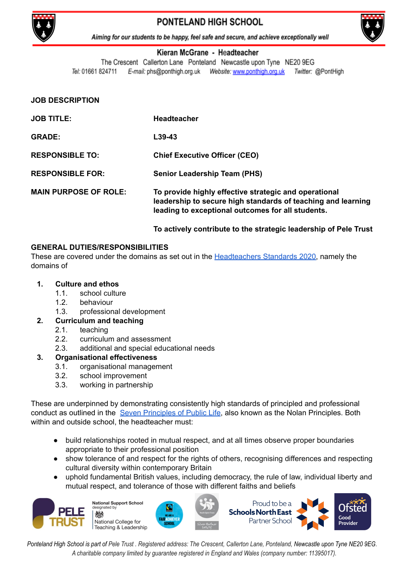

# PONTELAND HIGH SCHOOL



Aiming for our students to be happy, feel safe and secure, and achieve exceptionally well

### Kieran McGrane - Headteacher

The Crescent Callerton Lane Ponteland Newcastle upon Tyne NE20 9EG Tel: 01661 824711 Twitter: @PontHigh

| <b>JOB DESCRIPTION</b>       |                                                                                                                                                                            |
|------------------------------|----------------------------------------------------------------------------------------------------------------------------------------------------------------------------|
| <b>JOB TITLE:</b>            | <b>Headteacher</b>                                                                                                                                                         |
| <b>GRADE:</b>                | $L39-43$                                                                                                                                                                   |
| <b>RESPONSIBLE TO:</b>       | <b>Chief Executive Officer (CEO)</b>                                                                                                                                       |
| <b>RESPONSIBLE FOR:</b>      | <b>Senior Leadership Team (PHS)</b>                                                                                                                                        |
| <b>MAIN PURPOSE OF ROLE:</b> | To provide highly effective strategic and operational<br>leadership to secure high standards of teaching and learning<br>leading to exceptional outcomes for all students. |
|                              | To actively contribute to the strategic leadership of Pele Trust                                                                                                           |

# **GENERAL DUTIES/RESPONSIBILITIES**

These are covered under the domains as set out in the [Headteachers](https://www.gov.uk/government/publications/national-standards-of-excellence-for-headteachers/headteachers-standards-2020) Standards 2020, namely the domains of

## **1. Culture and ethos**

- 1.1. school culture
- 1.2. behaviour
- 1.3. professional development
- **2. Curriculum and teaching**
	- 2.1. teaching
	- 2.2. curriculum and assessment
	- 2.3. additional and special educational needs

#### **3. Organisational effectiveness**

- 3.1. organisational management
- 3.2. school improvement
- 3.3. working in partnership

These are underpinned by demonstrating consistently high standards of principled and professional conduct as outlined in the Seven [Principles](https://www.gov.uk/government/publications/the-7-principles-of-public-life) of Public Life, also known as the Nolan Principles. Both within and outside school, the headteacher must:

- build relationships rooted in mutual respect, and at all times observe proper boundaries appropriate to their professional position
- show tolerance of and respect for the rights of others, recognising differences and respecting cultural diversity within contemporary Britain
- uphold fundamental British values, including democracy, the rule of law, individual liberty and mutual respect, and tolerance of those with different faiths and beliefs



**National Support School** id heternizel 燃 National College for Teaching & Leadership







Ponteland High School is part of Pele Trust. Registered address: The Crescent, Callerton Lane, Ponteland, Newcastle upon Tyne NE20 9EG. *A charitable company limited by guarantee registered in England and Wales (company number: 11395017).*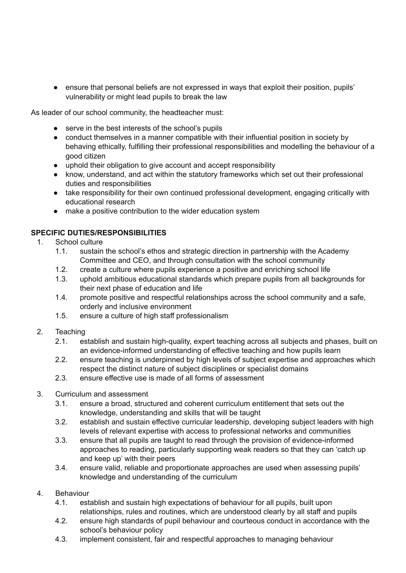• ensure that personal beliefs are not expressed in ways that exploit their position, pupils' vulnerability or might lead pupils to break the law

As leader of our school community, the headteacher must:

- serve in the best interests of the school's pupils
- conduct themselves in a manner compatible with their influential position in society by behaving ethically, fulfilling their professional responsibilities and modelling the behaviour of a good citizen
- uphold their obligation to give account and accept responsibility
- know, understand, and act within the statutory frameworks which set out their professional duties and responsibilities
- take responsibility for their own continued professional development, engaging critically with educational research
- make a positive contribution to the wider education system

# **SPECIFIC DUTIES/RESPONSIBILITIES**

- 1. School culture
	- 1.1. sustain the school's ethos and strategic direction in partnership with the Academy Committee and CEO, and through consultation with the school community
	- 1.2. create a culture where pupils experience a positive and enriching school life
	- 1.3. uphold ambitious educational standards which prepare pupils from all backgrounds for their next phase of education and life
	- 1.4. promote positive and respectful relationships across the school community and a safe, orderly and inclusive environment
	- 1.5. ensure a culture of high staff professionalism
- 2. Teaching
	- 2.1. establish and sustain high-quality, expert teaching across all subjects and phases, built on an evidence-informed understanding of effective teaching and how pupils learn
	- 2.2. ensure teaching is underpinned by high levels of subject expertise and approaches which respect the distinct nature of subject disciplines or specialist domains
	- 2.3. ensure effective use is made of all forms of assessment
- 3. Curriculum and assessment
	- 3.1. ensure a broad, structured and coherent curriculum entitlement that sets out the knowledge, understanding and skills that will be taught
	- 3.2. establish and sustain effective curricular leadership, developing subject leaders with high levels of relevant expertise with access to professional networks and communities
	- 3.3. ensure that all pupils are taught to read through the provision of evidence-informed approaches to reading, particularly supporting weak readers so that they can 'catch up and keep up' with their peers
	- 3.4. ensure valid, reliable and proportionate approaches are used when assessing pupils' knowledge and understanding of the curriculum
- 4. Behaviour
	- 4.1. establish and sustain high expectations of behaviour for all pupils, built upon relationships, rules and routines, which are understood clearly by all staff and pupils
	- 4.2. ensure high standards of pupil behaviour and courteous conduct in accordance with the school's behaviour policy
	- 4.3. implement consistent, fair and respectful approaches to managing behaviour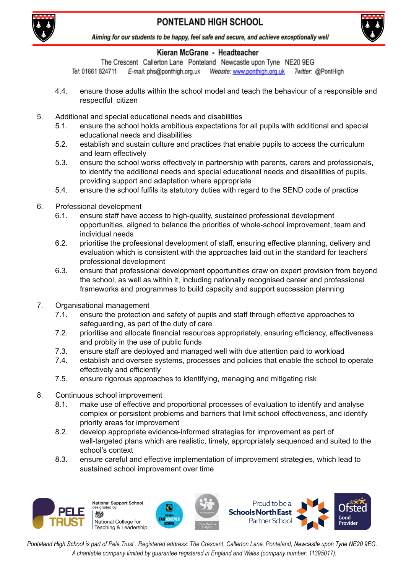

#### Aiming for our students to be happy, feel safe and secure, and achieve exceptionally well

# Kieran McGrane - Headteacher

The Crescent Callerton Lane Ponteland Newcastle upon Tyne NE20 9EG Tel: 01661 824711 Twitter: @PontHigh

- 4.4. ensure those adults within the school model and teach the behaviour of a responsible and respectful citizen
- 5. Additional and special educational needs and disabilities
	- 5.1. ensure the school holds ambitious expectations for all pupils with additional and special educational needs and disabilities
	- 5.2. establish and sustain culture and practices that enable pupils to access the curriculum and learn effectively
	- 5.3. ensure the school works effectively in partnership with parents, carers and professionals, to identify the additional needs and special educational needs and disabilities of pupils, providing support and adaptation where appropriate
	- 5.4. ensure the school fulfils its statutory duties with regard to the SEND code of practice
- 6. Professional development
	- 6.1. ensure staff have access to high-quality, sustained professional development opportunities, aligned to balance the priorities of whole-school improvement, team and individual needs
	- 6.2. prioritise the professional development of staff, ensuring effective planning, delivery and evaluation which is consistent with the approaches laid out in the standard for teachers' professional development
	- 6.3. ensure that professional development opportunities draw on expert provision from beyond the school, as well as within it, including nationally recognised career and professional frameworks and programmes to build capacity and support succession planning
- 7. Organisational management
	- 7.1. ensure the protection and safety of pupils and staff through effective approaches to safeguarding, as part of the duty of care
	- 7.2. prioritise and allocate financial resources appropriately, ensuring efficiency, effectiveness and probity in the use of public funds
	- 7.3. ensure staff are deployed and managed well with due attention paid to workload
	- 7.4. establish and oversee systems, processes and policies that enable the school to operate effectively and efficiently
	- 7.5. ensure rigorous approaches to identifying, managing and mitigating risk
- 8. Continuous school improvement
	- 8.1. make use of effective and proportional processes of evaluation to identify and analyse complex or persistent problems and barriers that limit school effectiveness, and identify priority areas for improvement
	- 8.2. develop appropriate evidence-informed strategies for improvement as part of well-targeted plans which are realistic, timely, appropriately sequenced and suited to the school's context
	- 8.3. ensure careful and effective implementation of improvement strategies, which lead to sustained school improvement over time



**National Support School** In heternizel National College for Teaching & Leadership





Ponteland High School is part of Pele Trust. Registered address: The Crescent, Callerton Lane, Ponteland, Newcastle upon Tyne NE20 9EG. *A charitable company limited by guarantee registered in England and Wales (company number: 11395017).*